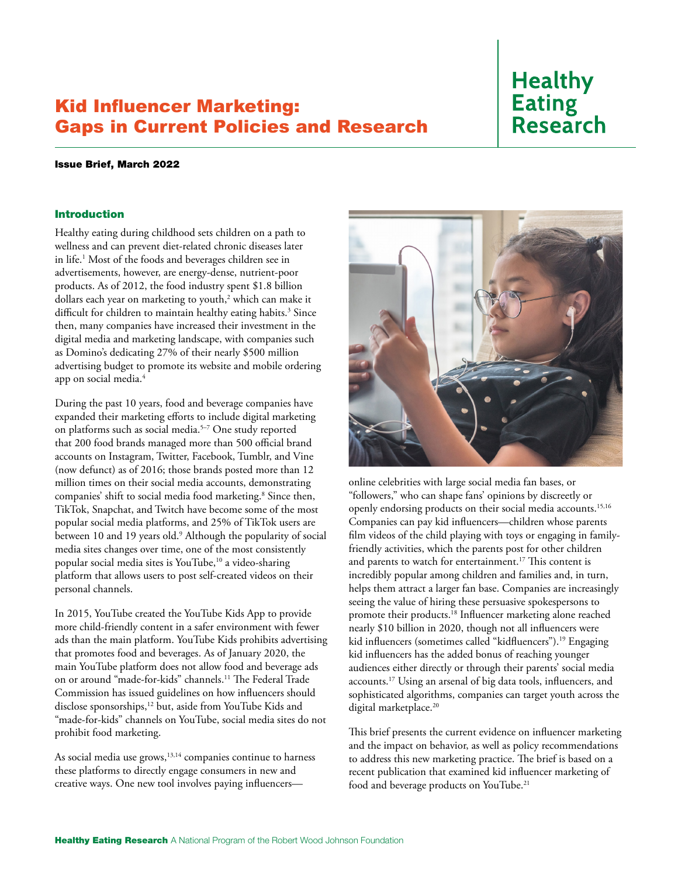# Kid Influencer Marketing: Gaps in Current Policies and Research

# **Healthy Eating Research**

#### Issue Brief, March 2022

#### Introduction

Healthy eating during childhood sets children on a path to wellness and can prevent diet-related chronic diseases later in life.1 Most of the foods and beverages children see in advertisements, however, are energy-dense, nutrient-poor products. As of 2012, the food industry spent \$1.8 billion dollars each year on marketing to youth,<sup>2</sup> which can make it difficult for children to maintain healthy eating habits.<sup>3</sup> Since then, many companies have increased their investment in the digital media and marketing landscape, with companies such as Domino's dedicating 27% of their nearly \$500 million advertising budget to promote its website and mobile ordering app on social media.4

During the past 10 years, food and beverage companies have expanded their marketing efforts to include digital marketing on platforms such as social media.5–7 One study reported that 200 food brands managed more than 500 official brand accounts on Instagram, Twitter, Facebook, Tumblr, and Vine (now defunct) as of 2016; those brands posted more than 12 million times on their social media accounts, demonstrating companies' shift to social media food marketing.8 Since then, TikTok, Snapchat, and Twitch have become some of the most popular social media platforms, and 25% of TikTok users are between 10 and 19 years old.<sup>9</sup> Although the popularity of social media sites changes over time, one of the most consistently popular social media sites is YouTube,10 a video-sharing platform that allows users to post self-created videos on their personal channels.

In 2015, YouTube created the YouTube Kids App to provide more child-friendly content in a safer environment with fewer ads than the main platform. YouTube Kids prohibits advertising that promotes food and beverages. As of January 2020, the main YouTube platform does not allow food and beverage ads on or around "made-for-kids" channels.11 The Federal Trade Commission has issued guidelines on how influencers should disclose sponsorships,<sup>12</sup> but, aside from YouTube Kids and "made-for-kids" channels on YouTube, social media sites do not prohibit food marketing.

As social media use grows, $13,14$  companies continue to harness these platforms to directly engage consumers in new and creative ways. One new tool involves paying influencers—



online celebrities with large social media fan bases, or "followers," who can shape fans' opinions by discreetly or openly endorsing products on their social media accounts.15,16 Companies can pay kid influencers—children whose parents film videos of the child playing with toys or engaging in familyfriendly activities, which the parents post for other children and parents to watch for entertainment.<sup>17</sup> This content is incredibly popular among children and families and, in turn, helps them attract a larger fan base. Companies are increasingly seeing the value of hiring these persuasive spokespersons to promote their products.18 Influencer marketing alone reached nearly \$10 billion in 2020, though not all influencers were kid influencers (sometimes called "kidfluencers").19 Engaging kid influencers has the added bonus of reaching younger audiences either directly or through their parents' social media accounts.17 Using an arsenal of big data tools, influencers, and sophisticated algorithms, companies can target youth across the digital marketplace.<sup>20</sup>

This brief presents the current evidence on influencer marketing and the impact on behavior, as well as policy recommendations to address this new marketing practice. The brief is based on a recent publication that examined kid influencer marketing of food and beverage products on YouTube.21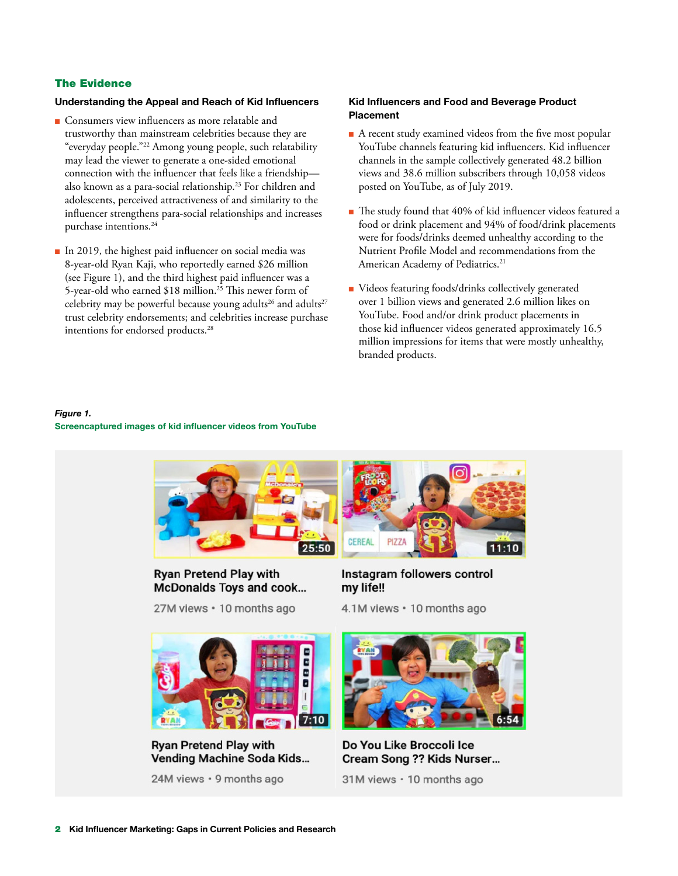## The Evidence

#### Understanding the Appeal and Reach of Kid Influencers

- Consumers view influencers as more relatable and trustworthy than mainstream celebrities because they are "everyday people."22 Among young people, such relatability may lead the viewer to generate a one-sided emotional connection with the influencer that feels like a friendship also known as a para-social relationship.23 For children and adolescents, perceived attractiveness of and similarity to the influencer strengthens para-social relationships and increases purchase intentions.<sup>24</sup>
- In 2019, the highest paid influencer on social media was 8-year-old Ryan Kaji, who reportedly earned \$26 million (see Figure 1), and the third highest paid influencer was a 5-year-old who earned \$18 million.<sup>25</sup> This newer form of celebrity may be powerful because young adults<sup>26</sup> and adults<sup>27</sup> trust celebrity endorsements; and celebrities increase purchase intentions for endorsed products.<sup>28</sup>

#### Kid Influencers and Food and Beverage Product Placement

- A recent study examined videos from the five most popular YouTube channels featuring kid influencers. Kid influencer channels in the sample collectively generated 48.2 billion views and 38.6 million subscribers through 10,058 videos posted on YouTube, as of July 2019.
- The study found that 40% of kid influencer videos featured a food or drink placement and 94% of food/drink placements were for foods/drinks deemed unhealthy according to the Nutrient Profile Model and recommendations from the American Academy of Pediatrics.<sup>21</sup>
- Videos featuring foods/drinks collectively generated over 1 billion views and generated 2.6 million likes on YouTube. Food and/or drink product placements in those kid influencer videos generated approximately 16.5 million impressions for items that were mostly unhealthy, branded products.

 $11:10$ 

# *Figure 1.* Screencaptured images of kid influencer videos from YouTube



**Ryan Pretend Play with McDonalds Toys and cook...** 

27M views · 10 months ago

Instagram followers control my life!!

4.1M views · 10 months ago



**Ryan Pretend Play with Vending Machine Soda Kids...** 

24M views · 9 months ago



Do You Like Broccoli Ice Cream Song ?? Kids Nurser...

31M views · 10 months ago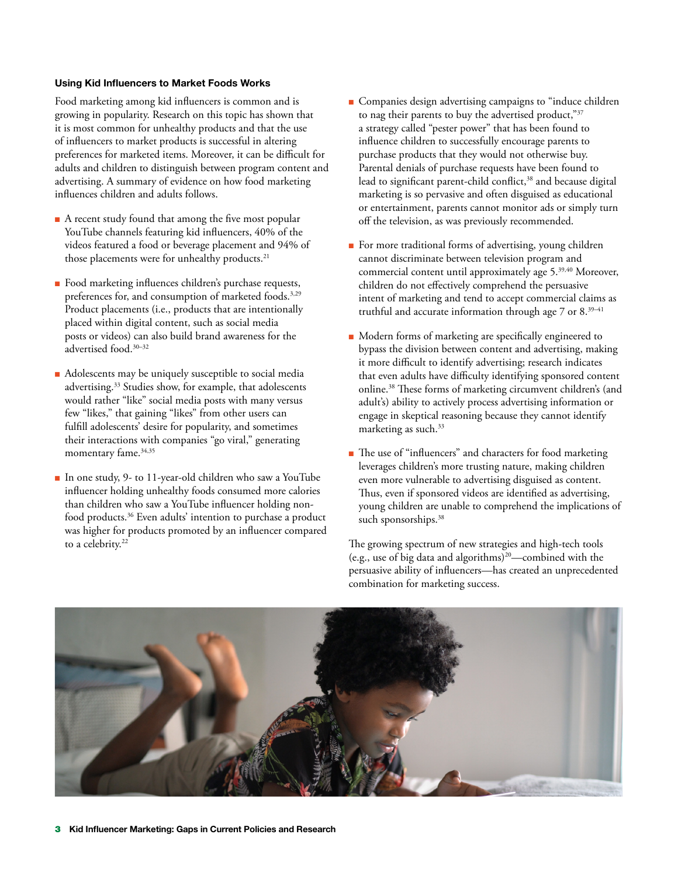#### Using Kid Influencers to Market Foods Works

Food marketing among kid influencers is common and is growing in popularity. Research on this topic has shown that it is most common for unhealthy products and that the use of influencers to market products is successful in altering preferences for marketed items. Moreover, it can be difficult for adults and children to distinguish between program content and advertising. A summary of evidence on how food marketing influences children and adults follows.

- A recent study found that among the five most popular YouTube channels featuring kid influencers, 40% of the videos featured a food or beverage placement and 94% of those placements were for unhealthy products.<sup>21</sup>
- Food marketing influences children's purchase requests, preferences for, and consumption of marketed foods.<sup>3,29</sup> Product placements (i.e., products that are intentionally placed within digital content, such as social media posts or videos) can also build brand awareness for the advertised food.30–32
- Adolescents may be uniquely susceptible to social media advertising.33 Studies show, for example, that adolescents would rather "like" social media posts with many versus few "likes," that gaining "likes" from other users can fulfill adolescents' desire for popularity, and sometimes their interactions with companies "go viral," generating momentary fame.<sup>34,35</sup>
- In one study, 9- to 11-year-old children who saw a YouTube influencer holding unhealthy foods consumed more calories than children who saw a YouTube influencer holding nonfood products.36 Even adults' intention to purchase a product was higher for products promoted by an influencer compared to a celebrity.<sup>22</sup>
- Companies design advertising campaigns to "induce children to nag their parents to buy the advertised product,"37 a strategy called "pester power" that has been found to influence children to successfully encourage parents to purchase products that they would not otherwise buy. Parental denials of purchase requests have been found to lead to significant parent-child conflict,<sup>38</sup> and because digital marketing is so pervasive and often disguised as educational or entertainment, parents cannot monitor ads or simply turn off the television, as was previously recommended.
- For more traditional forms of advertising, young children cannot discriminate between television program and commercial content until approximately age 5.<sup>39,40</sup> Moreover, children do not effectively comprehend the persuasive intent of marketing and tend to accept commercial claims as truthful and accurate information through age  $7$  or  $8.^{39-41}$
- Modern forms of marketing are specifically engineered to bypass the division between content and advertising, making it more difficult to identify advertising; research indicates that even adults have difficulty identifying sponsored content online.38 These forms of marketing circumvent children's (and adult's) ability to actively process advertising information or engage in skeptical reasoning because they cannot identify marketing as such.<sup>33</sup>
- The use of "influencers" and characters for food marketing leverages children's more trusting nature, making children even more vulnerable to advertising disguised as content. Thus, even if sponsored videos are identified as advertising, young children are unable to comprehend the implications of such sponsorships.<sup>38</sup>

The growing spectrum of new strategies and high-tech tools (e.g., use of big data and algorithms)20—combined with the persuasive ability of influencers—has created an unprecedented combination for marketing success.

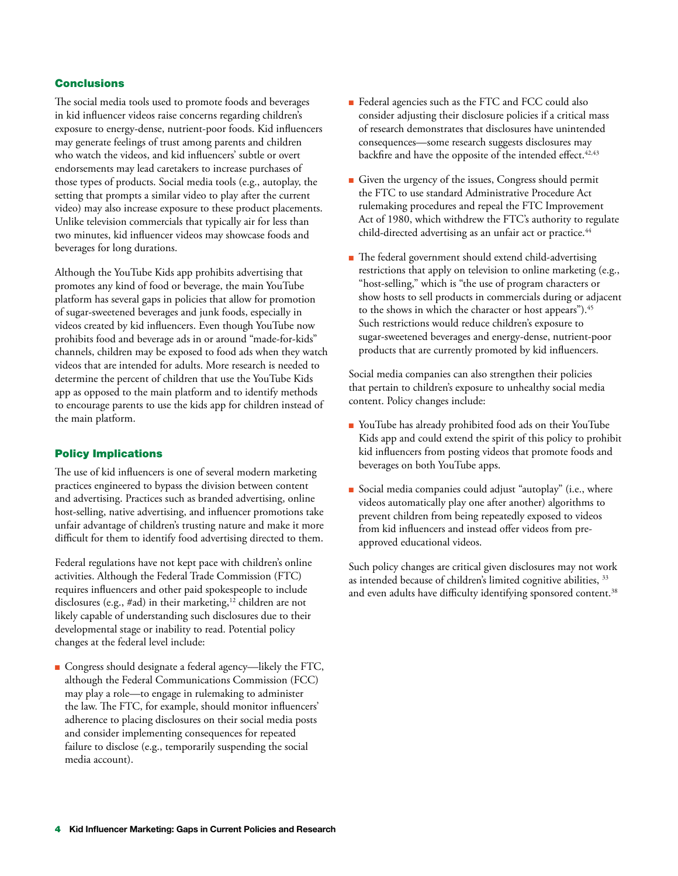## **Conclusions**

The social media tools used to promote foods and beverages in kid influencer videos raise concerns regarding children's exposure to energy-dense, nutrient-poor foods. Kid influencers may generate feelings of trust among parents and children who watch the videos, and kid influencers' subtle or overt endorsements may lead caretakers to increase purchases of those types of products. Social media tools (e.g., autoplay, the setting that prompts a similar video to play after the current video) may also increase exposure to these product placements. Unlike television commercials that typically air for less than two minutes, kid influencer videos may showcase foods and beverages for long durations.

Although the YouTube Kids app prohibits advertising that promotes any kind of food or beverage, the main YouTube platform has several gaps in policies that allow for promotion of sugar-sweetened beverages and junk foods, especially in videos created by kid influencers. Even though YouTube now prohibits food and beverage ads in or around "made-for-kids" channels, children may be exposed to food ads when they watch videos that are intended for adults. More research is needed to determine the percent of children that use the YouTube Kids app as opposed to the main platform and to identify methods to encourage parents to use the kids app for children instead of the main platform.

#### Policy Implications

The use of kid influencers is one of several modern marketing practices engineered to bypass the division between content and advertising. Practices such as branded advertising, online host-selling, native advertising, and influencer promotions take unfair advantage of children's trusting nature and make it more difficult for them to identify food advertising directed to them.

Federal regulations have not kept pace with children's online activities. Although the Federal Trade Commission (FTC) requires influencers and other paid spokespeople to include disclosures (e.g., #ad) in their marketing,<sup>12</sup> children are not likely capable of understanding such disclosures due to their developmental stage or inability to read. Potential policy changes at the federal level include:

■ Congress should designate a federal agency—likely the FTC, although the Federal Communications Commission (FCC) may play a role—to engage in rulemaking to administer the law. The FTC, for example, should monitor influencers' adherence to placing disclosures on their social media posts and consider implementing consequences for repeated failure to disclose (e.g., temporarily suspending the social media account).

- Federal agencies such as the FTC and FCC could also consider adjusting their disclosure policies if a critical mass of research demonstrates that disclosures have unintended consequences—some research suggests disclosures may backfire and have the opposite of the intended effect.<sup>42,43</sup>
- Given the urgency of the issues, Congress should permit the FTC to use standard Administrative Procedure Act rulemaking procedures and repeal the FTC Improvement Act of 1980, which withdrew the FTC's authority to regulate child-directed advertising as an unfair act or practice.<sup>44</sup>
- The federal government should extend child-advertising restrictions that apply on television to online marketing (e.g., "host-selling," which is "the use of program characters or show hosts to sell products in commercials during or adjacent to the shows in which the character or host appears").<sup>45</sup> Such restrictions would reduce children's exposure to sugar-sweetened beverages and energy-dense, nutrient-poor products that are currently promoted by kid influencers.

Social media companies can also strengthen their policies that pertain to children's exposure to unhealthy social media content. Policy changes include:

- YouTube has already prohibited food ads on their YouTube Kids app and could extend the spirit of this policy to prohibit kid influencers from posting videos that promote foods and beverages on both YouTube apps.
- Social media companies could adjust "autoplay" (i.e., where videos automatically play one after another) algorithms to prevent children from being repeatedly exposed to videos from kid influencers and instead offer videos from preapproved educational videos.

Such policy changes are critical given disclosures may not work as intended because of children's limited cognitive abilities, <sup>33</sup> and even adults have difficulty identifying sponsored content.<sup>38</sup>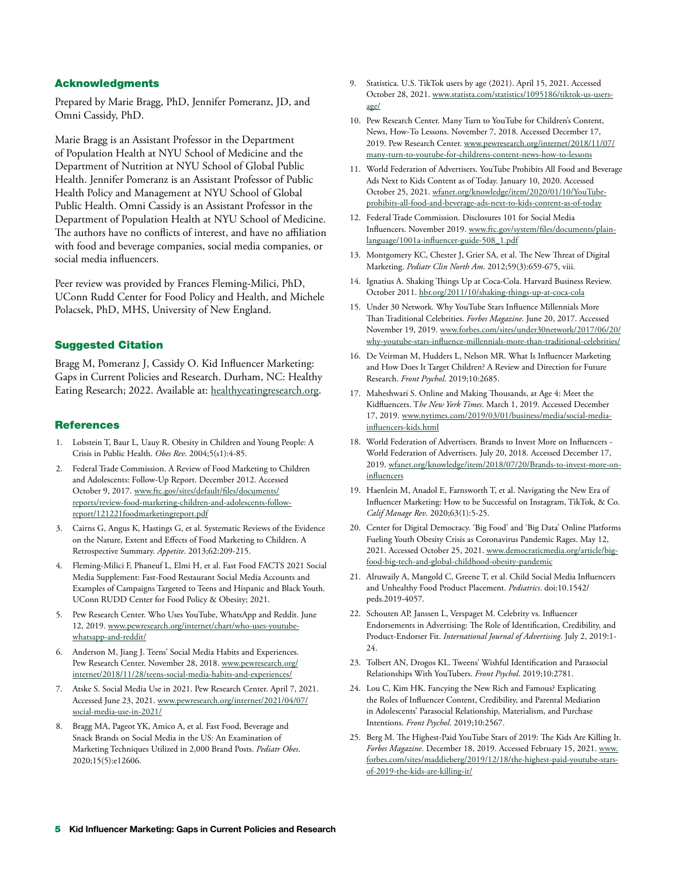#### Acknowledgments

Prepared by Marie Bragg, PhD, Jennifer Pomeranz, JD, and Omni Cassidy, PhD.

Marie Bragg is an Assistant Professor in the Department of Population Health at NYU School of Medicine and the Department of Nutrition at NYU School of Global Public Health. Jennifer Pomeranz is an Assistant Professor of Public Health Policy and Management at NYU School of Global Public Health. Omni Cassidy is an Assistant Professor in the Department of Population Health at NYU School of Medicine. The authors have no conflicts of interest, and have no affiliation with food and beverage companies, social media companies, or social media influencers.

Peer review was provided by Frances Fleming-Milici, PhD, UConn Rudd Center for Food Policy and Health, and Michele Polacsek, PhD, MHS, University of New England.

#### Suggested Citation

Bragg M, Pomeranz J, Cassidy O. Kid Influencer Marketing: Gaps in Current Policies and Research. Durham, NC: Healthy Eating Research; 2022. Available at: [healthyeatingresearch.org.](https://healthyeatingresearch.org)

#### **References**

- 1. Lobstein T, Baur L, Uauy R. Obesity in Children and Young People: A Crisis in Public Health. *Obes Rev*. 2004;5(s1):4-85.
- 2. Federal Trade Commission. A Review of Food Marketing to Children and Adolescents: Follow-Up Report. December 2012. Accessed October 9, 2017. [www.ftc.gov/sites/default/files/documents/](http://www.ftc.gov/sites/default/files/documents/reports/review-food-marketing-children-and-adolescents-follow-report/121221foodmarketingreport.pdf) [reports/review-food-marketing-children-and-adolescents-follow](http://www.ftc.gov/sites/default/files/documents/reports/review-food-marketing-children-and-adolescents-follow-report/121221foodmarketingreport.pdf)[report/121221foodmarketingreport.pdf](http://www.ftc.gov/sites/default/files/documents/reports/review-food-marketing-children-and-adolescents-follow-report/121221foodmarketingreport.pdf)
- 3. Cairns G, Angus K, Hastings G, et al. Systematic Reviews of the Evidence on the Nature, Extent and Effects of Food Marketing to Children. A Retrospective Summary. *Appetite*. 2013;62:209-215.
- 4. Fleming-Milici F, Phaneuf L, Elmi H, et al. Fast Food FACTS 2021 Social Media Supplement: Fast-Food Restaurant Social Media Accounts and Examples of Campaigns Targeted to Teens and Hispanic and Black Youth. UConn RUDD Center for Food Policy & Obesity; 2021.
- 5. Pew Research Center. Who Uses YouTube, WhatsApp and Reddit. June 12, 2019. [www.pewresearch.org/internet/chart/who-uses-youtube](http://www.pewresearch.org/internet/chart/who-uses-youtube-whatsapp-and-reddit/)[whatsapp-and-reddit/](http://www.pewresearch.org/internet/chart/who-uses-youtube-whatsapp-and-reddit/)
- 6. Anderson M, Jiang J. Teens' Social Media Habits and Experiences. Pew Research Center. November 28, 2018. [www.pewresearch.org/](http://www.pewresearch.org/internet/2018/11/28/teens-social-media-habits-and-experiences/) [internet/2018/11/28/teens-social-media-habits-and-experiences/](http://www.pewresearch.org/internet/2018/11/28/teens-social-media-habits-and-experiences/)
- 7. Atske S. Social Media Use in 2021. Pew Research Center. April 7, 2021. Accessed June 23, 2021. [www.pewresearch.org/internet/2021/04/07/](http://www.pewresearch.org/internet/2021/04/07/social-media-use-in-2021/) [social-media-use-in-2021/](http://www.pewresearch.org/internet/2021/04/07/social-media-use-in-2021/)
- 8. Bragg MA, Pageot YK, Amico A, et al. Fast Food, Beverage and Snack Brands on Social Media in the US: An Examination of Marketing Techniques Utilized in 2,000 Brand Posts. *Pediatr Obes*. 2020;15(5):e12606.
- 9. Statistica. U.S. TikTok users by age (2021). April 15, 2021. Accessed October 28, 2021. [www.statista.com/statistics/1095186/tiktok-us-users](http://www.statista.com/statistics/1095186/tiktok-us-users-age/)[age/](http://www.statista.com/statistics/1095186/tiktok-us-users-age/)
- 10. Pew Research Center. Many Turn to YouTube for Children's Content, News, How-To Lessons. November 7, 2018. Accessed December 17, 2019. Pew Research Center. [www.pewresearch.org/internet/2018/11/07/](http://www.pewresearch.org/internet/2018/11/07/many-turn-to-youtube-for-childrens-content-news-how-to-lessons) [many-turn-to-youtube-for-childrens-content-news-how-to-lessons](http://www.pewresearch.org/internet/2018/11/07/many-turn-to-youtube-for-childrens-content-news-how-to-lessons)
- 11. World Federation of Advertisers. YouTube Prohibits All Food and Beverage Ads Next to Kids Content as of Today. January 10, 2020. Accessed October 25, 2021. [wfanet.org/knowledge/item/2020/01/10/YouTube](http://wfanet.org/knowledge/item/2020/01/10/YouTube-prohibits-all-food-and-beverage-ads-next-to-kids-content-as-of-today)[prohibits-all-food-and-beverage-ads-next-to-kids-content-as-of-today](http://wfanet.org/knowledge/item/2020/01/10/YouTube-prohibits-all-food-and-beverage-ads-next-to-kids-content-as-of-today)
- 12. Federal Trade Commission. Disclosures 101 for Social Media Influencers. November 2019. [www.ftc.gov/system/files/documents/plain](http://www.ftc.gov/system/files/documents/plain-language/1001a-influencer-guide-508_1.pdf)[language/1001a-influencer-guide-508\\_1.pdf](http://www.ftc.gov/system/files/documents/plain-language/1001a-influencer-guide-508_1.pdf)
- 13. Montgomery KC, Chester J, Grier SA, et al. The New Threat of Digital Marketing. *Pediatr Clin North Am*. 2012;59(3):659-675, viii.
- 14. Ignatius A. Shaking Things Up at Coca-Cola. Harvard Business Review. October 2011. [hbr.org/2011/10/shaking-things-up-at-coca-cola](http://hbr.org/2011/10/shaking-things-up-at-coca-cola)
- 15. Under 30 Network. Why YouTube Stars Influence Millennials More Than Traditional Celebrities. *Forbes Magazine*. June 20, 2017. Accessed November 19, 2019. [www.forbes.com/sites/under30network/2017/06/20/](http://www.forbes.com/sites/under30network/2017/06/20/why-youtube-stars-influence-millennials-more-than-traditional-celebrities/) [why-youtube-stars-influence-millennials-more-than-traditional-celebrities/](http://www.forbes.com/sites/under30network/2017/06/20/why-youtube-stars-influence-millennials-more-than-traditional-celebrities/)
- 16. De Veirman M, Hudders L, Nelson MR. What Is Influencer Marketing and How Does It Target Children? A Review and Direction for Future Research. *Front Psychol*. 2019;10:2685.
- 17. Maheshwari S. Online and Making Thousands, at Age 4: Meet the Kidfluencers. T*he New York Times*. March 1, 2019. Accessed December 17, 2019. [www.nytimes.com/2019/03/01/business/media/social-media](http://www.nytimes.com/2019/03/01/business/media/social-media-influencers-kids.html)[influencers-kids.html](http://www.nytimes.com/2019/03/01/business/media/social-media-influencers-kids.html)
- 18. World Federation of Advertisers. Brands to Invest More on Influencers World Federation of Advertisers. July 20, 2018. Accessed December 17, 2019. [wfanet.org/knowledge/item/2018/07/20/Brands-to-invest-more-on](http://wfanet.org/knowledge/item/2018/07/20/Brands-to-invest-more-on-influencers)[influencers](http://wfanet.org/knowledge/item/2018/07/20/Brands-to-invest-more-on-influencers)
- 19. Haenlein M, Anadol E, Farnsworth T, et al. Navigating the New Era of Influencer Marketing: How to be Successful on Instagram, TikTok, & Co. *Calif Manage Rev*. 2020;63(1):5-25.
- 20. Center for Digital Democracy. 'Big Food' and 'Big Data' Online Platforms Fueling Youth Obesity Crisis as Coronavirus Pandemic Rages. May 12, 2021. Accessed October 25, 2021. [www.democraticmedia.org/article/big](http://www.democraticmedia.org/article/big-food-big-tech-and-global-childhood-obesity-pandemic)[food-big-tech-and-global-childhood-obesity-pandemic](http://www.democraticmedia.org/article/big-food-big-tech-and-global-childhood-obesity-pandemic)
- 21. Alruwaily A, Mangold C, Greene T, et al. Child Social Media Influencers and Unhealthy Food Product Placement. *Pediatrics*. doi:10.1542/ peds.2019-4057.
- 22. Schouten AP, Janssen L, Verspaget M. Celebrity vs. Influencer Endorsements in Advertising: The Role of Identification, Credibility, and Product-Endorser Fit. *International Journal of Advertising*. July 2, 2019:1- 24.
- 23. Tolbert AN, Drogos KL. Tweens' Wishful Identification and Parasocial Relationships With YouTubers. *Front Psychol*. 2019;10:2781.
- 24. Lou C, Kim HK. Fancying the New Rich and Famous? Explicating the Roles of Influencer Content, Credibility, and Parental Mediation in Adolescents' Parasocial Relationship, Materialism, and Purchase Intentions. *Front Psychol*. 2019;10:2567.
- 25. Berg M. The Highest-Paid YouTube Stars of 2019: The Kids Are Killing It. *Forbes Magazine*. December 18, 2019. Accessed February 15, 2021. [www.](http://www.forbes.com/sites/maddieberg/2019/12/18/the-highest-paid-youtube-stars-of-2019-the-kids-are-killing-it/) [forbes.com/sites/maddieberg/2019/12/18/the-highest-paid-youtube-stars](http://www.forbes.com/sites/maddieberg/2019/12/18/the-highest-paid-youtube-stars-of-2019-the-kids-are-killing-it/)[of-2019-the-kids-are-killing-it/](http://www.forbes.com/sites/maddieberg/2019/12/18/the-highest-paid-youtube-stars-of-2019-the-kids-are-killing-it/)